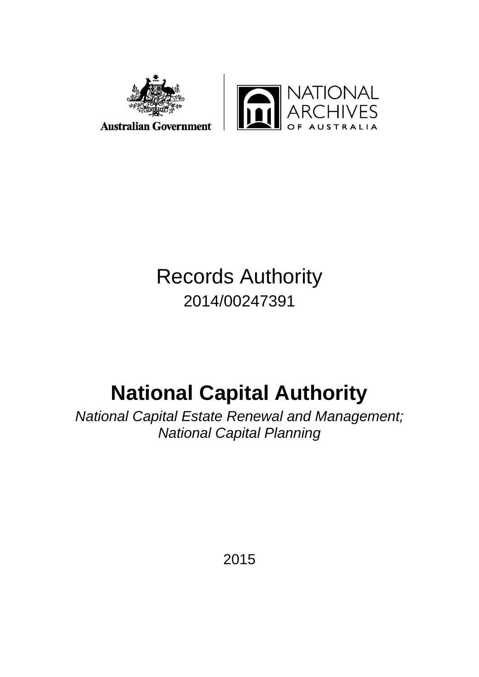

# Records Authority 2014/00247391

# **National Capital Authority**

*National Capital Estate Renewal and Management; National Capital Planning*

2015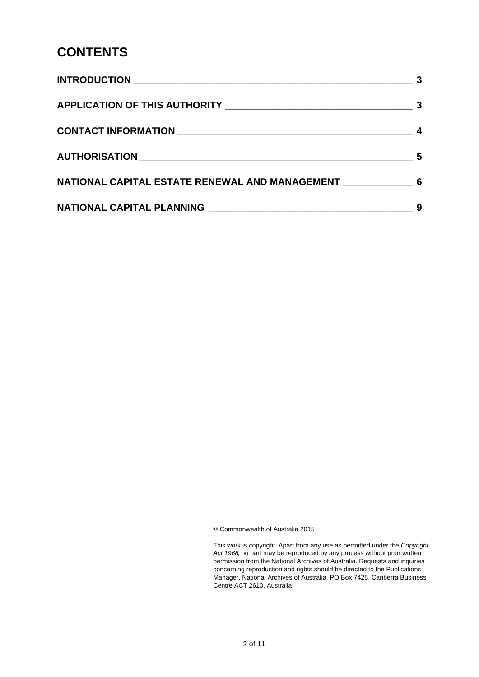# **CONTENTS**

|                                                  | -3 |
|--------------------------------------------------|----|
|                                                  |    |
|                                                  | 5  |
| NATIONAL CAPITAL ESTATE RENEWAL AND MANAGEMENT 6 |    |
|                                                  | 9  |

© Commonwealth of Australia 2015

This work is copyright. Apart from any use as permitted under the *Copyright Act 1968,* no part may be reproduced by any process without prior written permission from the National Archives of Australia. Requests and inquiries concerning reproduction and rights should be directed to the Publications Manager, National Archives of Australia, PO Box 7425, Canberra Business Centre ACT 2610, Australia.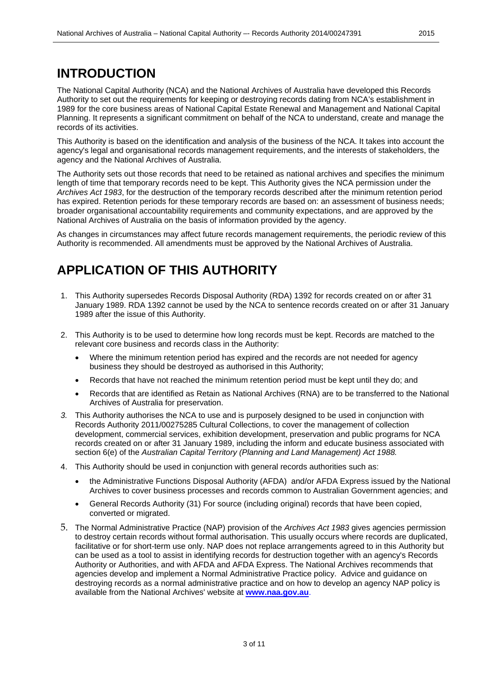### <span id="page-2-0"></span>**INTRODUCTION**

The National Capital Authority (NCA) and the National Archives of Australia have developed this Records Authority to set out the requirements for keeping or destroying records dating from NCA's establishment in 1989 for the core business areas of National Capital Estate Renewal and Management and National Capital Planning. It represents a significant commitment on behalf of the NCA to understand, create and manage the records of its activities.

This Authority is based on the identification and analysis of the business of the NCA. It takes into account the agency's legal and organisational records management requirements, and the interests of stakeholders, the agency and the National Archives of Australia.

The Authority sets out those records that need to be retained as national archives and specifies the minimum length of time that temporary records need to be kept. This Authority gives the NCA permission under the *Archives Act 1983*, for the destruction of the temporary records described after the minimum retention period has expired. Retention periods for these temporary records are based on: an assessment of business needs; broader organisational accountability requirements and community expectations, and are approved by the National Archives of Australia on the basis of information provided by the agency.

As changes in circumstances may affect future records management requirements, the periodic review of this Authority is recommended. All amendments must be approved by the National Archives of Australia.

### <span id="page-2-1"></span>**APPLICATION OF THIS AUTHORITY**

- 1. This Authority supersedes Records Disposal Authority (RDA) 1392 for records created on or after 31 January 1989. RDA 1392 cannot be used by the NCA to sentence records created on or after 31 January 1989 after the issue of this Authority.
- 2. This Authority is to be used to determine how long records must be kept. Records are matched to the relevant core business and records class in the Authority:
	- Where the minimum retention period has expired and the records are not needed for agency business they should be destroyed as authorised in this Authority;
	- Records that have not reached the minimum retention period must be kept until they do; and
	- Records that are identified as Retain as National Archives (RNA) are to be transferred to the National Archives of Australia for preservation.
- *3.* This Authority authorises the NCA to use and is purposely designed to be used in conjunction with Records Authority 2011/00275285 Cultural Collections, to cover the management of collection development, commercial services, exhibition development, preservation and public programs for NCA records created on or after 31 January 1989, including the inform and educate business associated with section 6(e) of the *Australian Capital Territory (Planning and Land Management) Act 1988.*
- 4. This Authority should be used in conjunction with general records authorities such as:
	- the Administrative Functions Disposal Authority (AFDA) and/or AFDA Express issued by the National Archives to cover business processes and records common to Australian Government agencies; and
	- General Records Authority (31) For source (including original) records that have been copied, converted or migrated.
- 5. The Normal Administrative Practice (NAP) provision of the *Archives Act 1983* gives agencies permission to destroy certain records without formal authorisation. This usually occurs where records are duplicated, facilitative or for short-term use only. NAP does not replace arrangements agreed to in this Authority but can be used as a tool to assist in identifying records for destruction together with an agency's Records Authority or Authorities, and with AFDA and AFDA Express. The National Archives recommends that agencies develop and implement a Normal Administrative Practice policy. Advice and guidance on destroying records as a normal administrative practice and on how to develop an agency NAP policy is available from the National Archives' website at **[www.naa.gov.au](http://www.naa.gov.au/)**.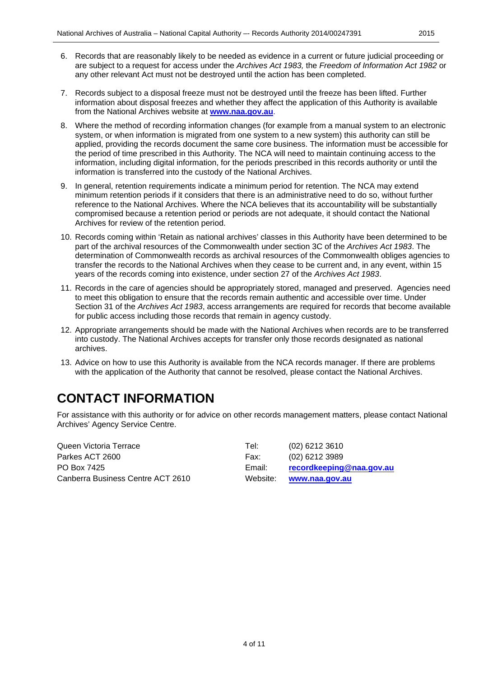- 6. Records that are reasonably likely to be needed as evidence in a current or future judicial proceeding or are subject to a request for access under the *Archives Act 1983,* the *Freedom of Information Act 1982* or any other relevant Act must not be destroyed until the action has been completed.
- 7. Records subject to a disposal freeze must not be destroyed until the freeze has been lifted. Further information about disposal freezes and whether they affect the application of this Authority is available from the National Archives website at **[www.naa.gov.au](http://www.naa.gov.au/)**.
- 8. Where the method of recording information changes (for example from a manual system to an electronic system, or when information is migrated from one system to a new system) this authority can still be applied, providing the records document the same core business. The information must be accessible for the period of time prescribed in this Authority. The NCA will need to maintain continuing access to the information, including digital information, for the periods prescribed in this records authority or until the information is transferred into the custody of the National Archives.
- 9. In general, retention requirements indicate a minimum period for retention. The NCA may extend minimum retention periods if it considers that there is an administrative need to do so, without further reference to the National Archives. Where the NCA believes that its accountability will be substantially compromised because a retention period or periods are not adequate, it should contact the National Archives for review of the retention period.
- 10. Records coming within 'Retain as national archives' classes in this Authority have been determined to be part of the archival resources of the Commonwealth under section 3C of the *Archives Act 1983*. The determination of Commonwealth records as archival resources of the Commonwealth obliges agencies to transfer the records to the National Archives when they cease to be current and, in any event, within 15 years of the records coming into existence, under section 27 of the *Archives Act 1983*.
- 11. Records in the care of agencies should be appropriately stored, managed and preserved. Agencies need to meet this obligation to ensure that the records remain authentic and accessible over time. Under Section 31 of the *Archives Act 1983*, access arrangements are required for records that become available for public access including those records that remain in agency custody.
- 12. Appropriate arrangements should be made with the National Archives when records are to be transferred into custody. The National Archives accepts for transfer only those records designated as national archives.
- 13. Advice on how to use this Authority is available from the NCA records manager. If there are problems with the application of the Authority that cannot be resolved, please contact the National Archives.

### <span id="page-3-0"></span>**CONTACT INFORMATION**

For assistance with this authority or for advice on other records management matters, please contact National Archives' Agency Service Centre.

| Queen Victoria Terrace            | Tel:     | $(02)$ 6212 3610         |
|-----------------------------------|----------|--------------------------|
| Parkes ACT 2600                   | Fax:     | (02) 6212 3989           |
| PO Box 7425                       | Email:   | recordkeeping@naa.gov.au |
| Canberra Business Centre ACT 2610 | Website: | www.naa.gov.au           |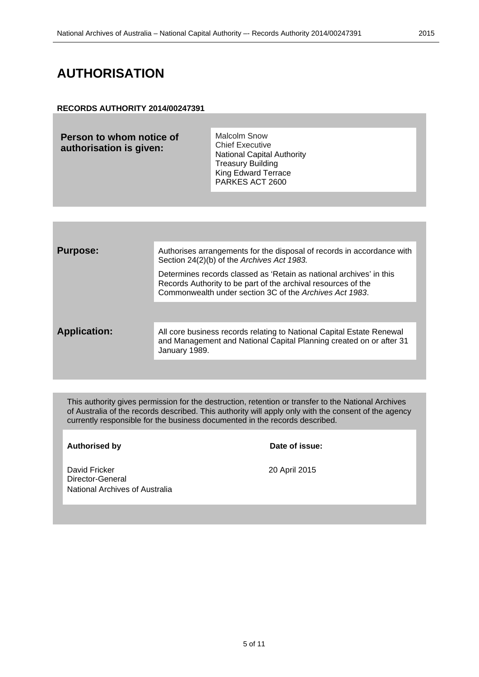### <span id="page-4-0"></span>**AUTHORISATION**

#### **RECORDS AUTHORITY 2014/00247391**

| Person to whom notice of | <b>Malcolm Snow</b>               |
|--------------------------|-----------------------------------|
| authorisation is given:  | <b>Chief Executive</b>            |
|                          | <b>National Capital Authority</b> |
|                          | <b>Treasury Building</b>          |
|                          | <b>King Edward Terrace</b>        |
|                          | PARKES ACT 2600                   |

| <b>Purpose:</b>     | Authorises arrangements for the disposal of records in accordance with<br>Section 24(2)(b) of the Archives Act 1983.                                                                            |
|---------------------|-------------------------------------------------------------------------------------------------------------------------------------------------------------------------------------------------|
|                     | Determines records classed as 'Retain as national archives' in this<br>Records Authority to be part of the archival resources of the<br>Commonwealth under section 3C of the Archives Act 1983. |
|                     |                                                                                                                                                                                                 |
| <b>Application:</b> | All core business records relating to National Capital Estate Renewal<br>and Management and National Capital Planning created on or after 31<br>January 1989.                                   |
|                     |                                                                                                                                                                                                 |

This authority gives permission for the destruction, retention or transfer to the National Archives of Australia of the records described. This authority will apply only with the consent of the agency currently responsible for the business documented in the records described.

**Authorised by Date of issue:**

David Fricker 20 April 2015 Director-General National Archives of Australia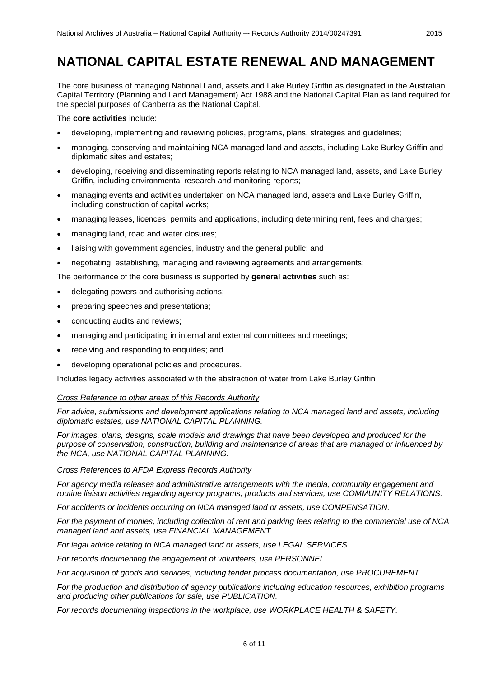# <span id="page-5-0"></span>**NATIONAL CAPITAL ESTATE RENEWAL AND MANAGEMENT**

The core business of managing National Land, assets and Lake Burley Griffin as designated in the Australian Capital Territory (Planning and Land Management) Act 1988 and the National Capital Plan as land required for the special purposes of Canberra as the National Capital.

The **core activities** include:

- developing, implementing and reviewing policies, programs, plans, strategies and guidelines;
- managing, conserving and maintaining NCA managed land and assets, including Lake Burley Griffin and diplomatic sites and estates;
- developing, receiving and disseminating reports relating to NCA managed land, assets, and Lake Burley Griffin, including environmental research and monitoring reports;
- managing events and activities undertaken on NCA managed land, assets and Lake Burley Griffin, including construction of capital works;
- managing leases, licences, permits and applications, including determining rent, fees and charges;
- managing land, road and water closures;
- liaising with government agencies, industry and the general public; and
- negotiating, establishing, managing and reviewing agreements and arrangements;

The performance of the core business is supported by **general activities** such as:

- delegating powers and authorising actions;
- preparing speeches and presentations;
- conducting audits and reviews;
- managing and participating in internal and external committees and meetings;
- receiving and responding to enquiries; and
- developing operational policies and procedures.

Includes legacy activities associated with the abstraction of water from Lake Burley Griffin

#### *Cross Reference to other areas of this Records Authority*

*For advice, submissions and development applications relating to NCA managed land and assets, including diplomatic estates, use NATIONAL CAPITAL PLANNING.*

*For images, plans, designs, scale models and drawings that have been developed and produced for the purpose of conservation, construction, building and maintenance of areas that are managed or influenced by the NCA, use NATIONAL CAPITAL PLANNING.*

#### *Cross References to AFDA Express Records Authority*

*For agency media releases and administrative arrangements with the media, community engagement and routine liaison activities regarding agency programs, products and services, use COMMUNITY RELATIONS.*

*For accidents or incidents occurring on NCA managed land or assets, use COMPENSATION.*

*For the payment of monies, including collection of rent and parking fees relating to the commercial use of NCA managed land and assets, use FINANCIAL MANAGEMENT.*

*For legal advice relating to NCA managed land or assets, use LEGAL SERVICES*

*For records documenting the engagement of volunteers, use PERSONNEL.*

*For acquisition of goods and services, including tender process documentation, use PROCUREMENT.*

*For the production and distribution of agency publications including education resources, exhibition programs and producing other publications for sale, use PUBLICATION.*

*For records documenting inspections in the workplace, use WORKPLACE HEALTH & SAFETY.*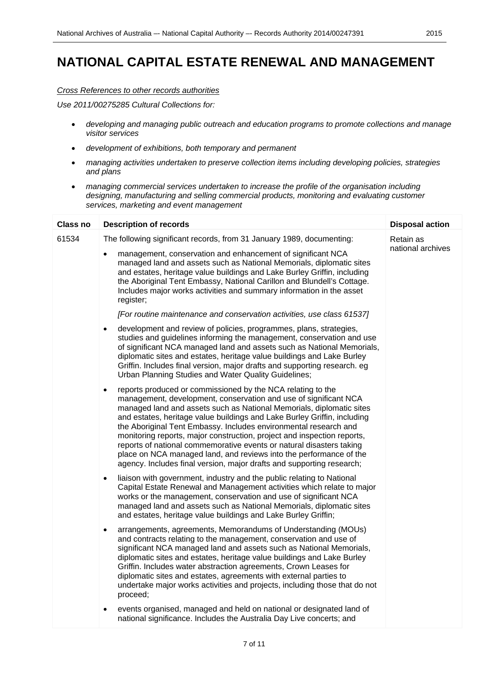# **NATIONAL CAPITAL ESTATE RENEWAL AND MANAGEMENT**

#### *Cross References to other records authorities*

*Use 2011/00275285 Cultural Collections for:*

- *developing and managing public outreach and education programs to promote collections and manage visitor services*
- *development of exhibitions, both temporary and permanent*
- *managing activities undertaken to preserve collection items including developing policies, strategies and plans*
- *managing commercial services undertaken to increase the profile of the organisation including designing, manufacturing and selling commercial products, monitoring and evaluating customer services, marketing and event management*

| <b>Class no</b> | <b>Description of records</b>                                                                                                                                                                                                                                                                                                                                                                                                                                                                                                                                                                                                                                          | <b>Disposal action</b> |
|-----------------|------------------------------------------------------------------------------------------------------------------------------------------------------------------------------------------------------------------------------------------------------------------------------------------------------------------------------------------------------------------------------------------------------------------------------------------------------------------------------------------------------------------------------------------------------------------------------------------------------------------------------------------------------------------------|------------------------|
| 61534           | The following significant records, from 31 January 1989, documenting:                                                                                                                                                                                                                                                                                                                                                                                                                                                                                                                                                                                                  | Retain as              |
|                 | management, conservation and enhancement of significant NCA<br>$\bullet$<br>managed land and assets such as National Memorials, diplomatic sites<br>and estates, heritage value buildings and Lake Burley Griffin, including<br>the Aboriginal Tent Embassy, National Carillon and Blundell's Cottage.<br>Includes major works activities and summary information in the asset<br>register;                                                                                                                                                                                                                                                                            | national archives      |
|                 | [For routine maintenance and conservation activities, use class 61537]                                                                                                                                                                                                                                                                                                                                                                                                                                                                                                                                                                                                 |                        |
|                 | development and review of policies, programmes, plans, strategies,<br>$\bullet$<br>studies and guidelines informing the management, conservation and use<br>of significant NCA managed land and assets such as National Memorials,<br>diplomatic sites and estates, heritage value buildings and Lake Burley<br>Griffin. Includes final version, major drafts and supporting research. eg<br>Urban Planning Studies and Water Quality Guidelines;                                                                                                                                                                                                                      |                        |
|                 | reports produced or commissioned by the NCA relating to the<br>$\bullet$<br>management, development, conservation and use of significant NCA<br>managed land and assets such as National Memorials, diplomatic sites<br>and estates, heritage value buildings and Lake Burley Griffin, including<br>the Aboriginal Tent Embassy. Includes environmental research and<br>monitoring reports, major construction, project and inspection reports,<br>reports of national commemorative events or natural disasters taking<br>place on NCA managed land, and reviews into the performance of the<br>agency. Includes final version, major drafts and supporting research; |                        |
|                 | liaison with government, industry and the public relating to National<br>$\bullet$<br>Capital Estate Renewal and Management activities which relate to major<br>works or the management, conservation and use of significant NCA<br>managed land and assets such as National Memorials, diplomatic sites<br>and estates, heritage value buildings and Lake Burley Griffin;                                                                                                                                                                                                                                                                                             |                        |
|                 | arrangements, agreements, Memorandums of Understanding (MOUs)<br>$\bullet$<br>and contracts relating to the management, conservation and use of<br>significant NCA managed land and assets such as National Memorials,<br>diplomatic sites and estates, heritage value buildings and Lake Burley<br>Griffin. Includes water abstraction agreements, Crown Leases for<br>diplomatic sites and estates, agreements with external parties to<br>undertake major works activities and projects, including those that do not<br>proceed;                                                                                                                                    |                        |
|                 | events organised, managed and held on national or designated land of<br>national significance. Includes the Australia Day Live concerts; and                                                                                                                                                                                                                                                                                                                                                                                                                                                                                                                           |                        |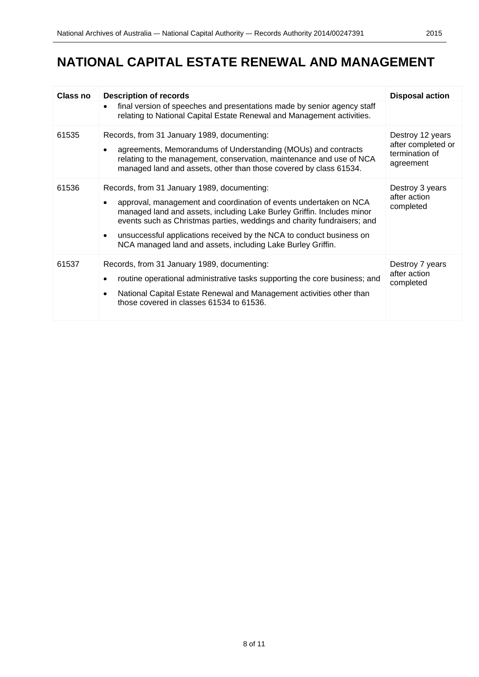# **NATIONAL CAPITAL ESTATE RENEWAL AND MANAGEMENT**

| <b>Class no</b> | <b>Description of records</b>                                                                                                                                                                                                                                                                                                                                                                                             | <b>Disposal action</b>                                                |
|-----------------|---------------------------------------------------------------------------------------------------------------------------------------------------------------------------------------------------------------------------------------------------------------------------------------------------------------------------------------------------------------------------------------------------------------------------|-----------------------------------------------------------------------|
|                 | final version of speeches and presentations made by senior agency staff<br>$\bullet$<br>relating to National Capital Estate Renewal and Management activities.                                                                                                                                                                                                                                                            |                                                                       |
| 61535           | Records, from 31 January 1989, documenting:<br>agreements, Memorandums of Understanding (MOUs) and contracts<br>$\bullet$<br>relating to the management, conservation, maintenance and use of NCA<br>managed land and assets, other than those covered by class 61534.                                                                                                                                                    | Destroy 12 years<br>after completed or<br>termination of<br>agreement |
| 61536           | Records, from 31 January 1989, documenting:<br>approval, management and coordination of events undertaken on NCA<br>managed land and assets, including Lake Burley Griffin. Includes minor<br>events such as Christmas parties, weddings and charity fundraisers; and<br>unsuccessful applications received by the NCA to conduct business on<br>$\bullet$<br>NCA managed land and assets, including Lake Burley Griffin. | Destroy 3 years<br>after action<br>completed                          |
| 61537           | Records, from 31 January 1989, documenting:<br>routine operational administrative tasks supporting the core business; and<br>National Capital Estate Renewal and Management activities other than<br>$\bullet$<br>those covered in classes 61534 to 61536.                                                                                                                                                                | Destroy 7 years<br>after action<br>completed                          |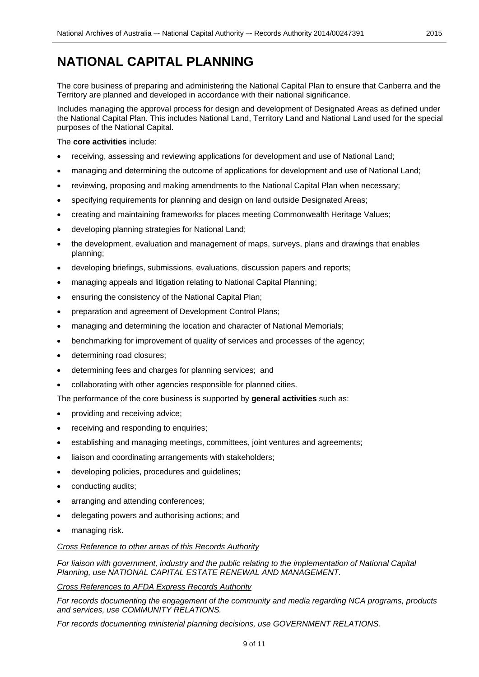### <span id="page-8-0"></span>**NATIONAL CAPITAL PLANNING**

The core business of preparing and administering the National Capital Plan to ensure that Canberra and the Territory are planned and developed in accordance with their national significance.

Includes managing the approval process for design and development of Designated Areas as defined under the National Capital Plan. This includes National Land, Territory Land and National Land used for the special purposes of the National Capital.

The **core activities** include:

- receiving, assessing and reviewing applications for development and use of National Land;
- managing and determining the outcome of applications for development and use of National Land;
- reviewing, proposing and making amendments to the National Capital Plan when necessary;
- specifying requirements for planning and design on land outside Designated Areas;
- creating and maintaining frameworks for places meeting Commonwealth Heritage Values;
- developing planning strategies for National Land;
- the development, evaluation and management of maps, surveys, plans and drawings that enables planning;
- developing briefings, submissions, evaluations, discussion papers and reports;
- managing appeals and litigation relating to National Capital Planning;
- ensuring the consistency of the National Capital Plan;
- preparation and agreement of Development Control Plans;
- managing and determining the location and character of National Memorials;
- benchmarking for improvement of quality of services and processes of the agency;
- determining road closures;
- determining fees and charges for planning services; and
- collaborating with other agencies responsible for planned cities.

The performance of the core business is supported by **general activities** such as:

- providing and receiving advice;
- receiving and responding to enquiries;
- establishing and managing meetings, committees, joint ventures and agreements;
- liaison and coordinating arrangements with stakeholders;
- developing policies, procedures and quidelines;
- conducting audits;
- arranging and attending conferences;
- delegating powers and authorising actions; and
- managing risk.

#### *Cross Reference to other areas of this Records Authority*

*For liaison with government, industry and the public relating to the implementation of National Capital Planning, use NATIONAL CAPITAL ESTATE RENEWAL AND MANAGEMENT.*

*Cross References to AFDA Express Records Authority*

*For records documenting the engagement of the community and media regarding NCA programs, products and services, use COMMUNITY RELATIONS.*

*For records documenting ministerial planning decisions, use GOVERNMENT RELATIONS.*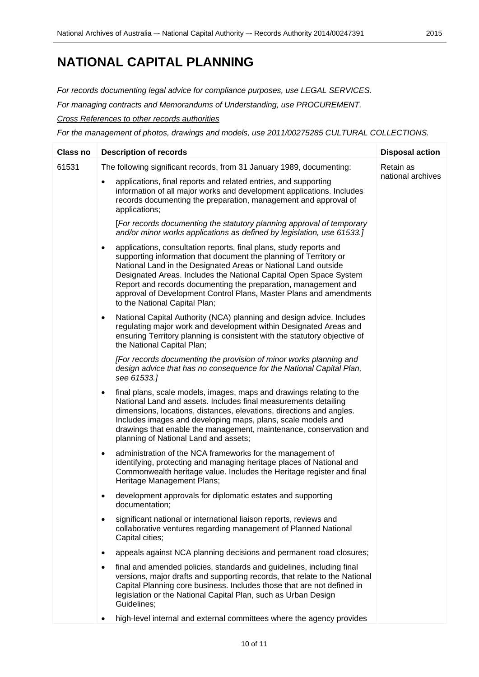### **NATIONAL CAPITAL PLANNING**

*For records documenting legal advice for compliance purposes, use LEGAL SERVICES.*

*For managing contracts and Memorandums of Understanding, use PROCUREMENT.*

*Cross References to other records authorities*

*For the management of photos, drawings and models, use 2011/00275285 CULTURAL COLLECTIONS.*

| <b>Class no</b> | <b>Description of records</b>                                                                                                                                                                                                                                                                                                                                                                                                                                        | <b>Disposal action</b> |
|-----------------|----------------------------------------------------------------------------------------------------------------------------------------------------------------------------------------------------------------------------------------------------------------------------------------------------------------------------------------------------------------------------------------------------------------------------------------------------------------------|------------------------|
| 61531           | The following significant records, from 31 January 1989, documenting:                                                                                                                                                                                                                                                                                                                                                                                                | Retain as              |
|                 | applications, final reports and related entries, and supporting<br>$\bullet$<br>information of all major works and development applications. Includes<br>records documenting the preparation, management and approval of<br>applications;                                                                                                                                                                                                                            | national archives      |
|                 | [For records documenting the statutory planning approval of temporary<br>and/or minor works applications as defined by legislation, use 61533.]                                                                                                                                                                                                                                                                                                                      |                        |
|                 | applications, consultation reports, final plans, study reports and<br>$\bullet$<br>supporting information that document the planning of Territory or<br>National Land in the Designated Areas or National Land outside<br>Designated Areas. Includes the National Capital Open Space System<br>Report and records documenting the preparation, management and<br>approval of Development Control Plans, Master Plans and amendments<br>to the National Capital Plan; |                        |
|                 | National Capital Authority (NCA) planning and design advice. Includes<br>$\bullet$<br>regulating major work and development within Designated Areas and<br>ensuring Territory planning is consistent with the statutory objective of<br>the National Capital Plan;                                                                                                                                                                                                   |                        |
|                 | [For records documenting the provision of minor works planning and<br>design advice that has no consequence for the National Capital Plan,<br>see 61533.]                                                                                                                                                                                                                                                                                                            |                        |
|                 | final plans, scale models, images, maps and drawings relating to the<br>$\bullet$<br>National Land and assets. Includes final measurements detailing<br>dimensions, locations, distances, elevations, directions and angles.<br>Includes images and developing maps, plans, scale models and<br>drawings that enable the management, maintenance, conservation and<br>planning of National Land and assets;                                                          |                        |
|                 | administration of the NCA frameworks for the management of<br>٠<br>identifying, protecting and managing heritage places of National and<br>Commonwealth heritage value. Includes the Heritage register and final<br>Heritage Management Plans;                                                                                                                                                                                                                       |                        |
|                 | development approvals for diplomatic estates and supporting<br>documentation;                                                                                                                                                                                                                                                                                                                                                                                        |                        |
|                 | significant national or international liaison reports, reviews and<br>collaborative ventures regarding management of Planned National<br>Capital cities;                                                                                                                                                                                                                                                                                                             |                        |
|                 | appeals against NCA planning decisions and permanent road closures;<br>٠                                                                                                                                                                                                                                                                                                                                                                                             |                        |
|                 | final and amended policies, standards and guidelines, including final<br>٠<br>versions, major drafts and supporting records, that relate to the National<br>Capital Planning core business. Includes those that are not defined in<br>legislation or the National Capital Plan, such as Urban Design<br>Guidelines:                                                                                                                                                  |                        |
|                 | high-level internal and external committees where the agency provides<br>$\bullet$                                                                                                                                                                                                                                                                                                                                                                                   |                        |